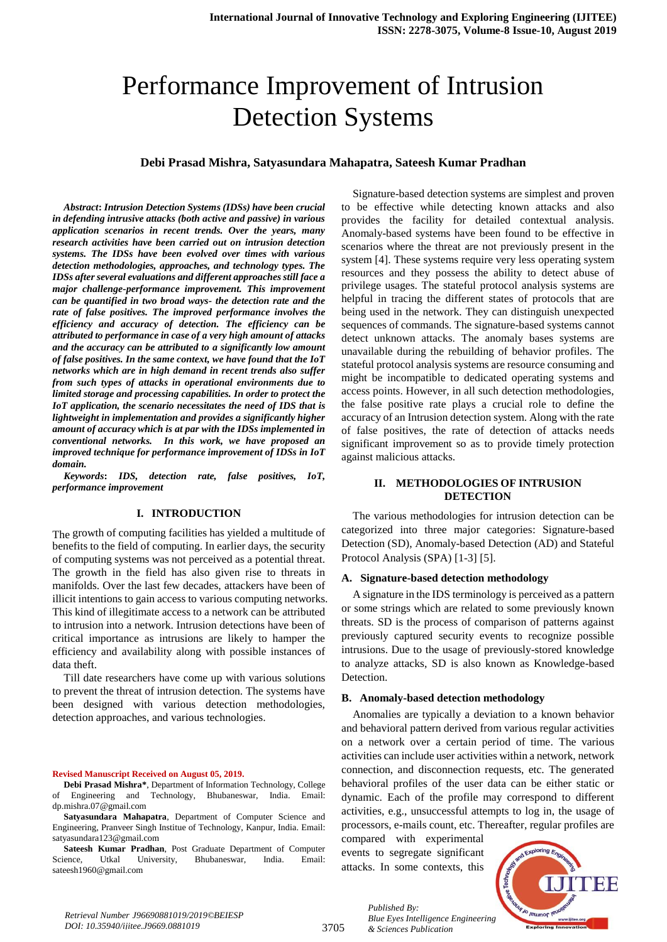# Performance Improvement of Intrusion Detection Systems

#### **Debi Prasad Mishra, Satyasundara Mahapatra, Sateesh Kumar Pradhan**

*Abstract***:** *Intrusion Detection Systems (IDSs) have been crucial in defending intrusive attacks (both active and passive) in various application scenarios in recent trends. Over the years, many research activities have been carried out on intrusion detection systems. The IDSs have been evolved over times with various detection methodologies, approaches, and technology types. The IDSs after several evaluations and different approaches still face a major challenge-performance improvement. This improvement can be quantified in two broad ways- the detection rate and the rate of false positives. The improved performance involves the efficiency and accuracy of detection. The efficiency can be attributed to performance in case of a very high amount of attacks and the accuracy can be attributed to a significantly low amount of false positives. In the same context, we have found that the IoT networks which are in high demand in recent trends also suffer from such types of attacks in operational environments due to limited storage and processing capabilities. In order to protect the IoT application, the scenario necessitates the need of IDS that is lightweight in implementation and provides a significantly higher amount of accuracy which is at par with the IDSs implemented in conventional networks. In this work, we have proposed an improved technique for performance improvement of IDSs in IoT domain.*

*Keywords***:** *IDS, detection rate, false positives, IoT, performance improvement*

#### **I. INTRODUCTION**

The growth of computing facilities has yielded a multitude of benefits to the field of computing. In earlier days, the security of computing systems was not perceived as a potential threat. The growth in the field has also given rise to threats in manifolds. Over the last few decades, attackers have been of illicit intentions to gain access to various computing networks. This kind of illegitimate access to a network can be attributed to intrusion into a network. Intrusion detections have been of critical importance as intrusions are likely to hamper the efficiency and availability along with possible instances of data theft.

Till date researchers have come up with various solutions to prevent the threat of intrusion detection. The systems have been designed with various detection methodologies, detection approaches, and various technologies.

#### **Revised Manuscript Received on August 05, 2019.**

**Debi Prasad Mishra\***, Department of Information Technology, College of Engineering and Technology, Bhubaneswar, India. Email: dp.mishra.07@gmail.com

**Satyasundara Mahapatra**, Department of Computer Science and Engineering, Pranveer Singh Institue of Technology, Kanpur, India. Email: satyasundara123@gmail.com

**Sateesh Kumar Pradhan**, Post Graduate Department of Computer Science, Utkal University, Bhubaneswar, India. Email: sateesh1960@gmail.com

Signature-based detection systems are simplest and proven to be effective while detecting known attacks and also provides the facility for detailed contextual analysis. Anomaly-based systems have been found to be effective in scenarios where the threat are not previously present in the system [4]. These systems require very less operating system resources and they possess the ability to detect abuse of privilege usages. The stateful protocol analysis systems are helpful in tracing the different states of protocols that are being used in the network. They can distinguish unexpected sequences of commands. The signature-based systems cannot detect unknown attacks. The anomaly bases systems are unavailable during the rebuilding of behavior profiles. The stateful protocol analysis systems are resource consuming and might be incompatible to dedicated operating systems and access points. However, in all such detection methodologies, the false positive rate plays a crucial role to define the accuracy of an Intrusion detection system. Along with the rate of false positives, the rate of detection of attacks needs significant improvement so as to provide timely protection against malicious attacks.

#### **II. METHODOLOGIES OF INTRUSION DETECTION**

The various methodologies for intrusion detection can be categorized into three major categories: Signature-based Detection (SD), Anomaly-based Detection (AD) and Stateful Protocol Analysis (SPA) [1-3] [5].

#### **A. Signature-based detection methodology**

A signature in the IDS terminology is perceived as a pattern or some strings which are related to some previously known threats. SD is the process of comparison of patterns against previously captured security events to recognize possible intrusions. Due to the usage of previously-stored knowledge to analyze attacks, SD is also known as Knowledge-based Detection.

#### **B. Anomaly-based detection methodology**

Anomalies are typically a deviation to a known behavior and behavioral pattern derived from various regular activities on a network over a certain period of time. The various activities can include user activities within a network, network connection, and disconnection requests, etc. The generated behavioral profiles of the user data can be either static or dynamic. Each of the profile may correspond to different activities, e.g., unsuccessful attempts to log in, the usage of processors, e-mails count, etc. Thereafter, regular profiles are

compared with experimental events to segregate significant attacks. In some contexts, this

*& Sciences Publication* 

*Published By:*



3705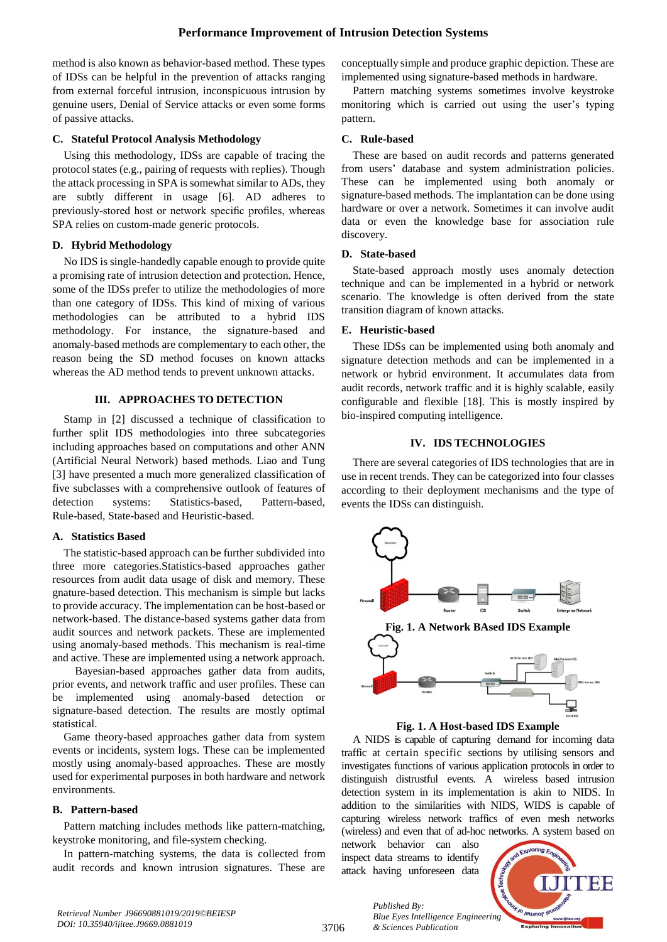method is also known as behavior-based method. These types of IDSs can be helpful in the prevention of attacks ranging from external forceful intrusion, inconspicuous intrusion by genuine users, Denial of Service attacks or even some forms of passive attacks.

## **C. Stateful Protocol Analysis Methodology**

Using this methodology, IDSs are capable of tracing the protocol states (e.g., pairing of requests with replies). Though the attack processing in SPA is somewhat similar to ADs, they are subtly different in usage [6]. AD adheres to previously-stored host or network specific profiles, whereas SPA relies on custom-made generic protocols.

# **D. Hybrid Methodology**

No IDS is single-handedly capable enough to provide quite a promising rate of intrusion detection and protection. Hence, some of the IDSs prefer to utilize the methodologies of more than one category of IDSs. This kind of mixing of various methodologies can be attributed to a hybrid IDS methodology. For instance, the signature-based and anomaly-based methods are complementary to each other, the reason being the SD method focuses on known attacks whereas the AD method tends to prevent unknown attacks.

# **III. APPROACHES TO DETECTION**

Stamp in [2] discussed a technique of classification to further split IDS methodologies into three subcategories including approaches based on computations and other ANN (Artificial Neural Network) based methods. Liao and Tung [3] have presented a much more generalized classification of five subclasses with a comprehensive outlook of features of detection systems: Statistics-based, Pattern-based, Rule-based, State-based and Heuristic-based.

## **A. Statistics Based**

The statistic-based approach can be further subdivided into three more categories.Statistics-based approaches gather resources from audit data usage of disk and memory. These gnature-based detection. This mechanism is simple but lacks to provide accuracy. The implementation can be host-based or network-based. The distance-based systems gather data from audit sources and network packets. These are implemented using anomaly-based methods. This mechanism is real-time and active. These are implemented using a network approach.

Bayesian-based approaches gather data from audits, prior events, and network traffic and user profiles. These can be implemented using anomaly-based detection or signature-based detection. The results are mostly optimal statistical.

Game theory-based approaches gather data from system events or incidents, system logs. These can be implemented mostly using anomaly-based approaches. These are mostly used for experimental purposes in both hardware and network environments.

## **B. Pattern-based**

Pattern matching includes methods like pattern-matching, keystroke monitoring, and file-system checking.

In pattern-matching systems, the data is collected from audit records and known intrusion signatures. These are conceptually simple and produce graphic depiction. These are implemented using signature-based methods in hardware.

Pattern matching systems sometimes involve keystroke monitoring which is carried out using the user's typing pattern.

# **C. Rule-based**

These are based on audit records and patterns generated from users' database and system administration policies. These can be implemented using both anomaly or signature-based methods. The implantation can be done using hardware or over a network. Sometimes it can involve audit data or even the knowledge base for association rule discovery.

# **D. State-based**

State-based approach mostly uses anomaly detection technique and can be implemented in a hybrid or network scenario. The knowledge is often derived from the state transition diagram of known attacks.

# **E. Heuristic-based**

These IDSs can be implemented using both anomaly and signature detection methods and can be implemented in a network or hybrid environment. It accumulates data from audit records, network traffic and it is highly scalable, easily configurable and flexible [18]. This is mostly inspired by bio-inspired computing intelligence.

# **IV. IDS TECHNOLOGIES**

There are several categories of IDS technologies that are in use in recent trends. They can be categorized into four classes according to their deployment mechanisms and the type of events the IDSs can distinguish.



**Fig. 1. A Host-based IDS Example**

A NIDS is capable of capturing demand for incoming data traffic at certain specific sections by utilising sensors and investigates functions of various application protocols in order to distinguish distrustful events. A wireless based intrusion detection system in its implementation is akin to NIDS. In addition to the similarities with NIDS, WIDS is capable of capturing wireless network traffics of even mesh networks (wireless) and even that of ad-hoc networks. A system based on

network behavior can also inspect data streams to identify attack having unforeseen data

*& Sciences Publication* 

*Published By:*



*Retrieval Number J96690881019/2019©BEIESP DOI: 10.35940/ijitee.J9669.0881019*

3706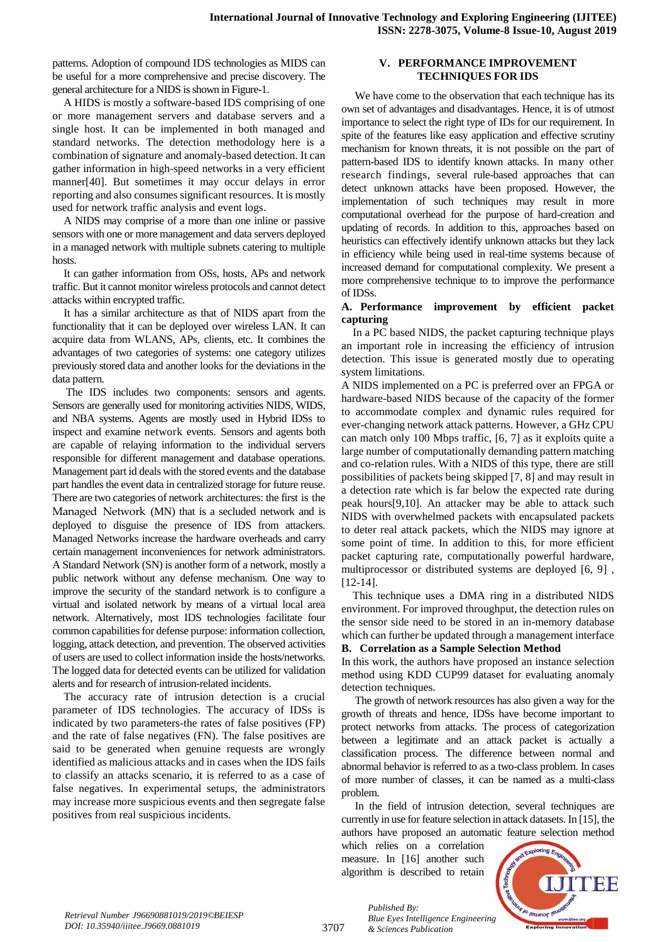patterns. Adoption of compound IDS technologies as MIDS can be useful for a more comprehensive and precise discovery. The general architecture for a NIDS is shown in Figure-1.

A HIDS is mostly a software-based IDS comprising of one or more management servers and database servers and a single host. It can be implemented in both managed and standard networks. The detection methodology here is a combination of signature and anomaly-based detection. It can gather information in high-speed networks in a very efficient manner[40]. But sometimes it may occur delays in error reporting and also consumes significant resources. It is mostly used for network traffic analysis and event logs.

A NIDS may comprise of a more than one inline or passive sensors with one or more management and data servers deployed in a managed network with multiple subnets catering to multiple hosts.

It can gather information from OSs, hosts, APs and network traffic. But it cannot monitor wireless protocols and cannot detect attacks within encrypted traffic.

It has a similar architecture as that of NIDS apart from the functionality that it can be deployed over wireless LAN. It can acquire data from WLANS, APs, clients, etc. It combines the advantages of two categories of systems: one category utilizes previously stored data and another looks for the deviations in the data pattern.

The IDS includes two components: sensors and agents. Sensors are generally used for monitoring activities NIDS, WIDS, and NBA systems. Agents are mostly used in Hybrid IDSs to inspect and examine network events. Sensors and agents both are capable of relaying information to the individual servers responsible for different management and database operations. Management part id deals with the stored events and the database part handles the event data in centralized storage for future reuse. There are two categories of network architectures: the first is the Managed Network (MN) that is a secluded network and is deployed to disguise the presence of IDS from attackers. Managed Networks increase the hardware overheads and carry certain management inconveniences for network administrators. A Standard Network (SN) is another form of a network, mostly a public network without any defense mechanism. One way to improve the security of the standard network is to configure a virtual and isolated network by means of a virtual local area network. Alternatively, most IDS technologies facilitate four common capabilities for defense purpose: information collection, logging, attack detection, and prevention. The observed activities of users are used to collect information inside the hosts/networks. The logged data for detected events can be utilized for validation alerts and for research of intrusion-related incidents.

The accuracy rate of intrusion detection is a crucial parameter of IDS technologies. The accuracy of IDSs is indicated by two parameters-the rates of false positives (FP) and the rate of false negatives (FN). The false positives are said to be generated when genuine requests are wrongly identified as malicious attacks and in cases when the IDS fails to classify an attacks scenario, it is referred to as a case of false negatives. In experimental setups, the administrators may increase more suspicious events and then segregate false positives from real suspicious incidents.

## **V. PERFORMANCE IMPROVEMENT TECHNIQUES FOR IDS**

We have come to the observation that each technique has its own set of advantages and disadvantages. Hence, it is of utmost importance to select the right type of IDs for our requirement. In spite of the features like easy application and effective scrutiny mechanism for known threats, it is not possible on the part of pattern-based IDS to identify known attacks. In many other research findings, several rule-based approaches that can detect unknown attacks have been proposed. However, the implementation of such techniques may result in more computational overhead for the purpose of hard-creation and updating of records. In addition to this, approaches based on heuristics can effectively identify unknown attacks but they lack in efficiency while being used in real-time systems because of increased demand for computational complexity. We present a more comprehensive technique to to improve the performance of IDSs.

#### **A. Performance improvement by efficient packet capturing**

In a PC based NIDS, the packet capturing technique plays an important role in increasing the efficiency of intrusion detection. This issue is generated mostly due to operating system limitations.

A NIDS implemented on a PC is preferred over an FPGA or hardware-based NIDS because of the capacity of the former to accommodate complex and dynamic rules required for ever-changing network attack patterns. However, a GHz CPU can match only 100 Mbps traffic, [6, 7] as it exploits quite a large number of computationally demanding pattern matching and co-relation rules. With a NIDS of this type, there are still possibilities of packets being skipped [7, 8] and may result in a detection rate which is far below the expected rate during peak hours[9,10]. An attacker may be able to attack such NIDS with overwhelmed packets with encapsulated packets to deter real attack packets, which the NIDS may ignore at some point of time. In addition to this, for more efficient packet capturing rate, computationally powerful hardware, multiprocessor or distributed systems are deployed [6, 9] , [12-14].

This technique uses a DMA ring in a distributed NIDS environment. For improved throughput, the detection rules on the sensor side need to be stored in an in-memory database which can further be updated through a management interface

#### **B. Correlation as a Sample Selection Method**

In this work, the authors have proposed an instance selection method using KDD CUP99 dataset for evaluating anomaly detection techniques.

The growth of network resources has also given a way for the growth of threats and hence, IDSs have become important to protect networks from attacks. The process of categorization between a legitimate and an attack packet is actually a classification process. The difference between normal and abnormal behavior is referred to as a two-class problem. In cases of more number of classes, it can be named as a multi-class problem.

In the field of intrusion detection, several techniques are currently in use for feature selection in attack datasets. In [15], the authors have proposed an automatic feature selection method

which relies on a correlation measure. In [16] another such algorithm is described to retain



3707

*Published By: Blue Eyes Intelligence Engineering & Sciences Publication*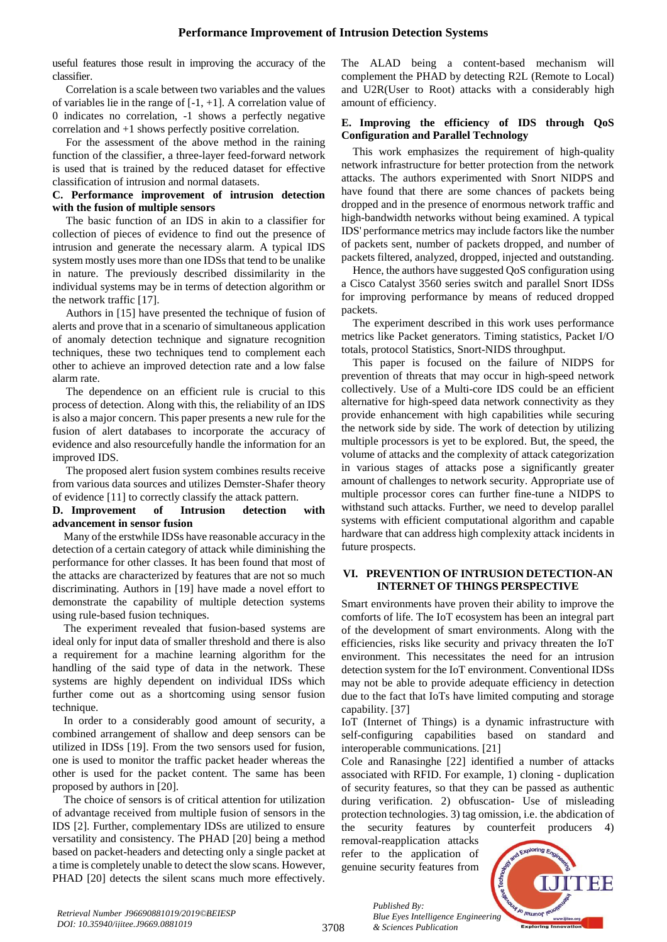useful features those result in improving the accuracy of the classifier.

Correlation is a scale between two variables and the values of variables lie in the range of [-1, +1]. A correlation value of 0 indicates no correlation, -1 shows a perfectly negative correlation and +1 shows perfectly positive correlation.

For the assessment of the above method in the raining function of the classifier, a three-layer feed-forward network is used that is trained by the reduced dataset for effective classification of intrusion and normal datasets.

## **C. Performance improvement of intrusion detection with the fusion of multiple sensors**

The basic function of an IDS in akin to a classifier for collection of pieces of evidence to find out the presence of intrusion and generate the necessary alarm. A typical IDS system mostly uses more than one IDSs that tend to be unalike in nature. The previously described dissimilarity in the individual systems may be in terms of detection algorithm or the network traffic [17].

Authors in [15] have presented the technique of fusion of alerts and prove that in a scenario of simultaneous application of anomaly detection technique and signature recognition techniques, these two techniques tend to complement each other to achieve an improved detection rate and a low false alarm rate.

The dependence on an efficient rule is crucial to this process of detection. Along with this, the reliability of an IDS is also a major concern. This paper presents a new rule for the fusion of alert databases to incorporate the accuracy of evidence and also resourcefully handle the information for an improved IDS.

The proposed alert fusion system combines results receive from various data sources and utilizes Demster-Shafer theory of evidence [11] to correctly classify the attack pattern.

## **D. Improvement of Intrusion detection with advancement in sensor fusion**

Many of the erstwhile IDSs have reasonable accuracy in the detection of a certain category of attack while diminishing the performance for other classes. It has been found that most of the attacks are characterized by features that are not so much discriminating. Authors in [19] have made a novel effort to demonstrate the capability of multiple detection systems using rule-based fusion techniques.

The experiment revealed that fusion-based systems are ideal only for input data of smaller threshold and there is also a requirement for a machine learning algorithm for the handling of the said type of data in the network. These systems are highly dependent on individual IDSs which further come out as a shortcoming using sensor fusion technique.

In order to a considerably good amount of security, a combined arrangement of shallow and deep sensors can be utilized in IDSs [19]. From the two sensors used for fusion, one is used to monitor the traffic packet header whereas the other is used for the packet content. The same has been proposed by authors in [20].

The choice of sensors is of critical attention for utilization of advantage received from multiple fusion of sensors in the IDS [2]. Further, complementary IDSs are utilized to ensure versatility and consistency. The PHAD [20] being a method based on packet-headers and detecting only a single packet at a time is completely unable to detect the slow scans. However, PHAD [20] detects the silent scans much more effectively.

The ALAD being a content-based mechanism will complement the PHAD by detecting R2L (Remote to Local) and U2R(User to Root) attacks with a considerably high amount of efficiency.

## **E. Improving the efficiency of IDS through QoS Configuration and Parallel Technology**

This work emphasizes the requirement of high-quality network infrastructure for better protection from the network attacks. The authors experimented with Snort NIDPS and have found that there are some chances of packets being dropped and in the presence of enormous network traffic and high-bandwidth networks without being examined. A typical IDS' performance metrics may include factors like the number of packets sent, number of packets dropped, and number of packets filtered, analyzed, dropped, injected and outstanding.

Hence, the authors have suggested QoS configuration using a Cisco Catalyst 3560 series switch and parallel Snort IDSs for improving performance by means of reduced dropped packets.

The experiment described in this work uses performance metrics like Packet generators. Timing statistics, Packet I/O totals, protocol Statistics, Snort-NIDS throughput.

This paper is focused on the failure of NIDPS for prevention of threats that may occur in high-speed network collectively. Use of a Multi-core IDS could be an efficient alternative for high-speed data network connectivity as they provide enhancement with high capabilities while securing the network side by side. The work of detection by utilizing multiple processors is yet to be explored. But, the speed, the volume of attacks and the complexity of attack categorization in various stages of attacks pose a significantly greater amount of challenges to network security. Appropriate use of multiple processor cores can further fine-tune a NIDPS to withstand such attacks. Further, we need to develop parallel systems with efficient computational algorithm and capable hardware that can address high complexity attack incidents in future prospects.

## **VI. PREVENTION OF INTRUSION DETECTION-AN INTERNET OF THINGS PERSPECTIVE**

Smart environments have proven their ability to improve the comforts of life. The IoT ecosystem has been an integral part of the development of smart environments. Along with the efficiencies, risks like security and privacy threaten the IoT environment. This necessitates the need for an intrusion detection system for the IoT environment. Conventional IDSs may not be able to provide adequate efficiency in detection due to the fact that IoTs have limited computing and storage capability. [37]

IoT (Internet of Things) is a dynamic infrastructure with self-configuring capabilities based on standard and interoperable communications. [21]

Cole and Ranasinghe [22] identified a number of attacks associated with RFID. For example, 1) cloning - duplication of security features, so that they can be passed as authentic during verification. 2) obfuscation- Use of misleading protection technologies. 3) tag omission, i.e. the abdication of the security features by counterfeit producers 4)

removal-reapplication attacks refer to the application of genuine security features from

*& Sciences Publication* 

*Published By:*



3708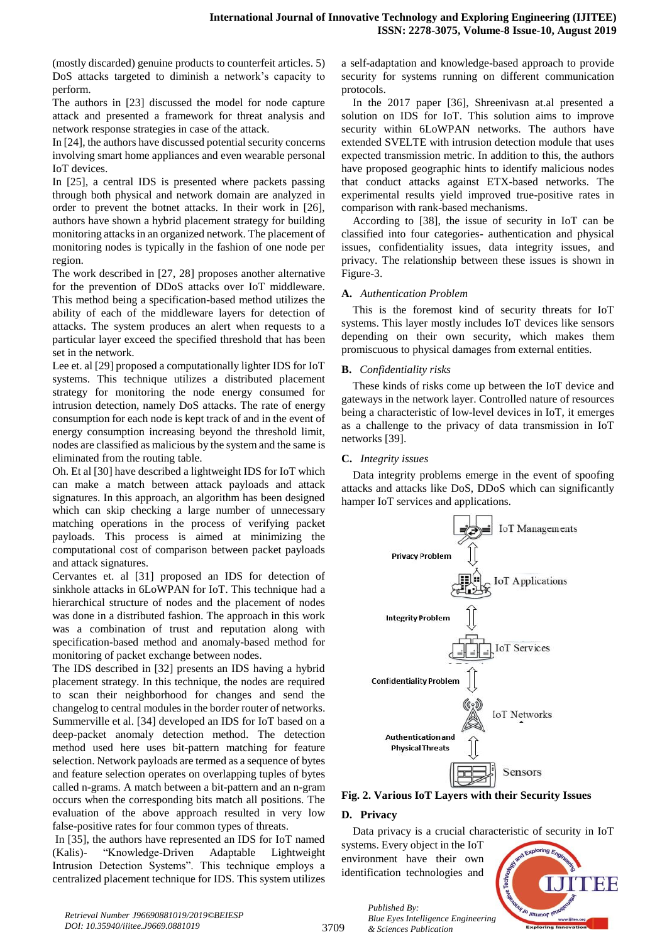(mostly discarded) genuine products to counterfeit articles. 5) DoS attacks targeted to diminish a network's capacity to perform.

The authors in [23] discussed the model for node capture attack and presented a framework for threat analysis and network response strategies in case of the attack.

In [24], the authors have discussed potential security concerns involving smart home appliances and even wearable personal IoT devices.

In [25], a central IDS is presented where packets passing through both physical and network domain are analyzed in order to prevent the botnet attacks. In their work in [26], authors have shown a hybrid placement strategy for building monitoring attacks in an organized network. The placement of monitoring nodes is typically in the fashion of one node per region.

The work described in [27, 28] proposes another alternative for the prevention of DDoS attacks over IoT middleware. This method being a specification-based method utilizes the ability of each of the middleware layers for detection of attacks. The system produces an alert when requests to a particular layer exceed the specified threshold that has been set in the network.

Lee et. al [29] proposed a computationally lighter IDS for IoT systems. This technique utilizes a distributed placement strategy for monitoring the node energy consumed for intrusion detection, namely DoS attacks. The rate of energy consumption for each node is kept track of and in the event of energy consumption increasing beyond the threshold limit, nodes are classified as malicious by the system and the same is eliminated from the routing table.

Oh. Et al [30] have described a lightweight IDS for IoT which can make a match between attack payloads and attack signatures. In this approach, an algorithm has been designed which can skip checking a large number of unnecessary matching operations in the process of verifying packet payloads. This process is aimed at minimizing the computational cost of comparison between packet payloads and attack signatures.

Cervantes et. al [31] proposed an IDS for detection of sinkhole attacks in 6LoWPAN for IoT. This technique had a hierarchical structure of nodes and the placement of nodes was done in a distributed fashion. The approach in this work was a combination of trust and reputation along with specification-based method and anomaly-based method for monitoring of packet exchange between nodes.

The IDS described in [32] presents an IDS having a hybrid placement strategy. In this technique, the nodes are required to scan their neighborhood for changes and send the changelog to central modules in the border router of networks. Summerville et al. [34] developed an IDS for IoT based on a deep-packet anomaly detection method. The detection method used here uses bit-pattern matching for feature selection. Network payloads are termed as a sequence of bytes and feature selection operates on overlapping tuples of bytes called n-grams. A match between a bit-pattern and an n-gram occurs when the corresponding bits match all positions. The evaluation of the above approach resulted in very low false-positive rates for four common types of threats.

In [35], the authors have represented an IDS for IoT named (Kalis)- "Knowledge-Driven Adaptable Lightweight Intrusion Detection Systems". This technique employs a centralized placement technique for IDS. This system utilizes a self-adaptation and knowledge-based approach to provide security for systems running on different communication protocols.

In the 2017 paper [36], Shreenivasn at.al presented a solution on IDS for IoT. This solution aims to improve security within 6LoWPAN networks. The authors have extended SVELTE with intrusion detection module that uses expected transmission metric. In addition to this, the authors have proposed geographic hints to identify malicious nodes that conduct attacks against ETX-based networks. The experimental results yield improved true-positive rates in comparison with rank-based mechanisms.

According to [38], the issue of security in IoT can be classified into four categories- authentication and physical issues, confidentiality issues, data integrity issues, and privacy. The relationship between these issues is shown in Figure-3.

## **A.** *Authentication Problem*

This is the foremost kind of security threats for IoT systems. This layer mostly includes IoT devices like sensors depending on their own security, which makes them promiscuous to physical damages from external entities.

# **B.** *Confidentiality risks*

These kinds of risks come up between the IoT device and gateways in the network layer. Controlled nature of resources being a characteristic of low-level devices in IoT, it emerges as a challenge to the privacy of data transmission in IoT networks [39].

# **C.** *Integrity issues*

Data integrity problems emerge in the event of spoofing attacks and attacks like DoS, DDoS which can significantly hamper IoT services and applications.



**Fig. 2. Various IoT Layers with their Security Issues**

# **D. Privacy**

Data privacy is a crucial characteristic of security in IoT

systems. Every object in the IoT environment have their own identification technologies and

*& Sciences Publication* 

*Published By:*

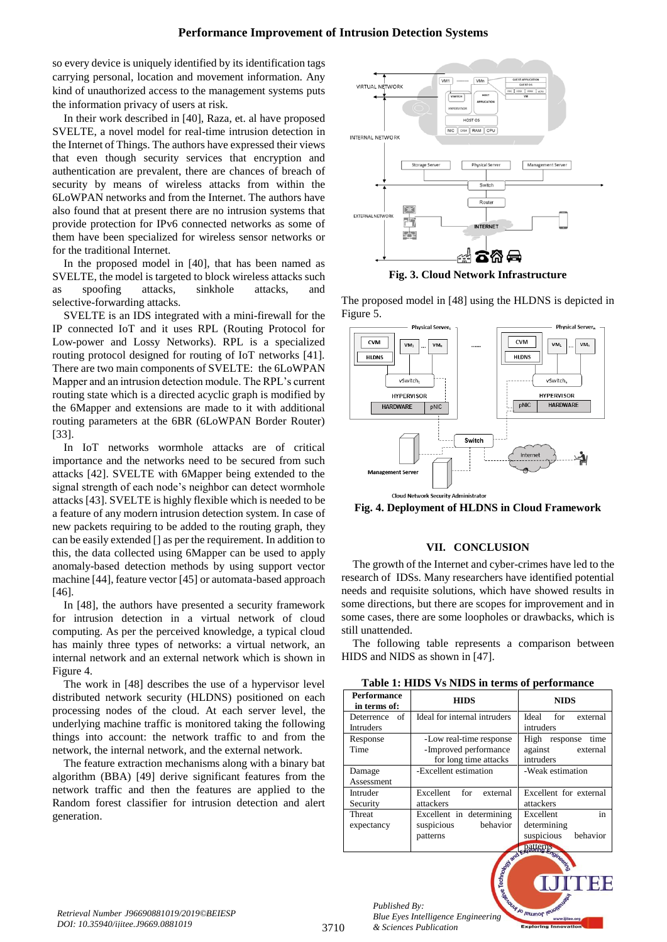so every device is uniquely identified by its identification tags carrying personal, location and movement information. Any kind of unauthorized access to the management systems puts the information privacy of users at risk.

In their work described in [40], Raza, et. al have proposed SVELTE, a novel model for real-time intrusion detection in the Internet of Things. The authors have expressed their views that even though security services that encryption and authentication are prevalent, there are chances of breach of security by means of wireless attacks from within the 6LoWPAN networks and from the Internet. The authors have also found that at present there are no intrusion systems that provide protection for IPv6 connected networks as some of them have been specialized for wireless sensor networks or for the traditional Internet.

In the proposed model in [40], that has been named as SVELTE, the model is targeted to block wireless attacks such as spoofing attacks, sinkhole attacks, and selective-forwarding attacks.

SVELTE is an IDS integrated with a mini-firewall for the IP connected IoT and it uses RPL (Routing Protocol for Low-power and Lossy Networks). RPL is a specialized routing protocol designed for routing of IoT networks [41]. There are two main components of SVELTE: the 6LoWPAN Mapper and an intrusion detection module. The RPL's current routing state which is a directed acyclic graph is modified by the 6Mapper and extensions are made to it with additional routing parameters at the 6BR (6LoWPAN Border Router) [33].

In IoT networks wormhole attacks are of critical importance and the networks need to be secured from such attacks [42]. SVELTE with 6Mapper being extended to the signal strength of each node's neighbor can detect wormhole attacks [43]. SVELTE is highly flexible which is needed to be a feature of any modern intrusion detection system. In case of new packets requiring to be added to the routing graph, they can be easily extended [] as per the requirement. In addition to this, the data collected using 6Mapper can be used to apply anomaly-based detection methods by using support vector machine [44], feature vector [45] or automata-based approach [46].

In [48], the authors have presented a security framework for intrusion detection in a virtual network of cloud computing. As per the perceived knowledge, a typical cloud has mainly three types of networks: a virtual network, an internal network and an external network which is shown in Figure 4.

The work in [48] describes the use of a hypervisor level distributed network security (HLDNS) positioned on each processing nodes of the cloud. At each server level, the underlying machine traffic is monitored taking the following things into account: the network traffic to and from the network, the internal network, and the external network.

The feature extraction mechanisms along with a binary bat algorithm (BBA) [49] derive significant features from the network traffic and then the features are applied to the Random forest classifier for intrusion detection and alert generation.



**Fig. 3. Cloud Network Infrastructure**

The proposed model in [48] using the HLDNS is depicted in Figure 5.



**Fig. 4. Deployment of HLDNS in Cloud Framework**

## **VII. CONCLUSION**

The growth of the Internet and cyber-crimes have led to the research of IDSs. Many researchers have identified potential needs and requisite solutions, which have showed results in some directions, but there are scopes for improvement and in some cases, there are some loopholes or drawbacks, which is still unattended.

The following table represents a comparison between HIDS and NIDS as shown in [47].

| Table 1: HIDS Vs NIDS in terms of performance |  |  |  |
|-----------------------------------------------|--|--|--|
|-----------------------------------------------|--|--|--|

| <b>Performance</b><br>in terms of: | <b>HIDS</b>                                                               | <b>NIDS</b>                                                          |
|------------------------------------|---------------------------------------------------------------------------|----------------------------------------------------------------------|
| Deterrence of<br><b>Intruders</b>  | Ideal for internal intruders                                              | Ideal for<br>external<br>intruders                                   |
| Response<br>Time                   | -Low real-time response<br>-Improved performance<br>for long time attacks | High response time<br>against<br>external<br>intruders               |
| Damage<br>Assessment               | -Excellent estimation                                                     | -Weak estimation                                                     |
| Intruder<br>Security               | Excellent<br>for<br>external<br>attackers                                 | Excellent for external<br>attackers                                  |
| Threat<br>expectancy               | Excellent in determining<br>behavior<br>suspicious<br>patterns            | in<br>Excellent<br>determining<br>behavior<br>suspicious<br>patterns |
|                                    | od and                                                                    | mgineeris                                                            |

*Published By: Blue Eyes Intelligence Engineering & Sciences Publication* 

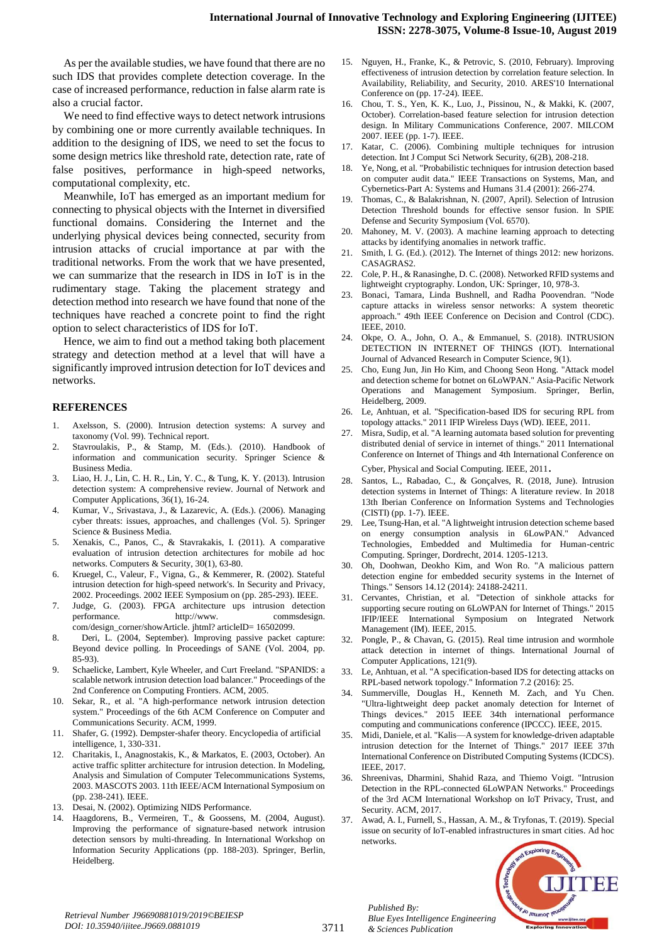As per the available studies, we have found that there are no such IDS that provides complete detection coverage. In the case of increased performance, reduction in false alarm rate is also a crucial factor.

We need to find effective ways to detect network intrusions by combining one or more currently available techniques. In addition to the designing of IDS, we need to set the focus to some design metrics like threshold rate, detection rate, rate of false positives, performance in high-speed networks, computational complexity, etc.

Meanwhile, IoT has emerged as an important medium for connecting to physical objects with the Internet in diversified functional domains. Considering the Internet and the underlying physical devices being connected, security from intrusion attacks of crucial importance at par with the traditional networks. From the work that we have presented, we can summarize that the research in IDS in IoT is in the rudimentary stage. Taking the placement strategy and detection method into research we have found that none of the techniques have reached a concrete point to find the right option to select characteristics of IDS for IoT.

Hence, we aim to find out a method taking both placement strategy and detection method at a level that will have a significantly improved intrusion detection for IoT devices and networks.

#### **REFERENCES**

- 1. Axelsson, S. (2000). Intrusion detection systems: A survey and taxonomy (Vol. 99). Technical report.
- 2. Stavroulakis, P., & Stamp, M. (Eds.). (2010). Handbook of information and communication security. Springer Science & Business Media.
- 3. Liao, H. J., Lin, C. H. R., Lin, Y. C., & Tung, K. Y. (2013). Intrusion detection system: A comprehensive review. Journal of Network and Computer Applications, 36(1), 16-24.
- 4. Kumar, V., Srivastava, J., & Lazarevic, A. (Eds.). (2006). Managing cyber threats: issues, approaches, and challenges (Vol. 5). Springer Science & Business Media.
- 5. Xenakis, C., Panos, C., & Stavrakakis, I. (2011). A comparative evaluation of intrusion detection architectures for mobile ad hoc networks. Computers & Security, 30(1), 63-80.
- 6. Kruegel, C., Valeur, F., Vigna, G., & Kemmerer, R. (2002). Stateful intrusion detection for high-speed network's. In Security and Privacy, 2002. Proceedings. 2002 IEEE Symposium on (pp. 285-293). IEEE.
- 7. Judge, G. (2003). FPGA architecture ups intrusion detection performance. http://www. commsdesign. com/design\_corner/showArticle. jhtml? articleID= 16502099.
- 8. Deri, L. (2004, September). Improving passive packet capture: Beyond device polling. In Proceedings of SANE (Vol. 2004, pp. 85-93).
- 9. Schaelicke, Lambert, Kyle Wheeler, and Curt Freeland. "SPANIDS: a scalable network intrusion detection load balancer." Proceedings of the 2nd Conference on Computing Frontiers. ACM, 2005.
- 10. Sekar, R., et al. "A high-performance network intrusion detection system." Proceedings of the 6th ACM Conference on Computer and Communications Security. ACM, 1999.
- 11. Shafer, G. (1992). Dempster-shafer theory. Encyclopedia of artificial intelligence, 1, 330-331.
- 12. Charitakis, I., Anagnostakis, K., & Markatos, E. (2003, October). An active traffic splitter architecture for intrusion detection. In Modeling, Analysis and Simulation of Computer Telecommunications Systems, 2003. MASCOTS 2003. 11th IEEE/ACM International Symposium on (pp. 238-241). IEEE.
- 13. Desai, N. (2002). Optimizing NIDS Performance.
- 14. Haagdorens, B., Vermeiren, T., & Goossens, M. (2004, August). Improving the performance of signature-based network intrusion detection sensors by multi-threading. In International Workshop on Information Security Applications (pp. 188-203). Springer, Berlin, Heidelberg.
- 15. Nguyen, H., Franke, K., & Petrovic, S. (2010, February). Improving effectiveness of intrusion detection by correlation feature selection. In Availability, Reliability, and Security, 2010. ARES'10 International Conference on (pp. 17-24). IEEE.
- 16. Chou, T. S., Yen, K. K., Luo, J., Pissinou, N., & Makki, K. (2007, October). Correlation-based feature selection for intrusion detection design. In Military Communications Conference, 2007. MILCOM 2007. IEEE (pp. 1-7). IEEE.
- 17. Katar, C. (2006). Combining multiple techniques for intrusion detection. Int J Comput Sci Network Security, 6(2B), 208-218.
- 18. Ye, Nong, et al. "Probabilistic techniques for intrusion detection based on computer audit data." IEEE Transactions on Systems, Man, and Cybernetics-Part A: Systems and Humans 31.4 (2001): 266-274.
- 19. Thomas, C., & Balakrishnan, N. (2007, April). Selection of Intrusion Detection Threshold bounds for effective sensor fusion. In SPIE Defense and Security Symposium (Vol. 6570).
- 20. Mahoney, M. V. (2003). A machine learning approach to detecting attacks by identifying anomalies in network traffic.
- 21. Smith, I. G. (Ed.). (2012). The Internet of things 2012: new horizons. CASAGRAS2.
- 22. Cole, P. H., & Ranasinghe, D. C. (2008). Networked RFID systems and lightweight cryptography. London, UK: Springer, 10, 978-3.
- 23. Bonaci, Tamara, Linda Bushnell, and Radha Poovendran. "Node capture attacks in wireless sensor networks: A system theoretic approach." 49th IEEE Conference on Decision and Control (CDC). IEEE, 2010.
- 24. Okpe, O. A., John, O. A., & Emmanuel, S. (2018). INTRUSION DETECTION IN INTERNET OF THINGS (IOT). International Journal of Advanced Research in Computer Science, 9(1).
- 25. Cho, Eung Jun, Jin Ho Kim, and Choong Seon Hong. "Attack model and detection scheme for botnet on 6LoWPAN." Asia-Pacific Network Operations and Management Symposium. Springer, Berlin, Heidelberg, 2009.
- 26. Le, Anhtuan, et al. "Specification-based IDS for securing RPL from topology attacks." 2011 IFIP Wireless Days (WD). IEEE, 2011.
- 27. Misra, Sudip, et al. "A learning automata based solution for preventing distributed denial of service in internet of things." 2011 International Conference on Internet of Things and 4th International Conference on Cyber, Physical and Social Computing. IEEE, 2011.
- 28. Santos, L., Rabadao, C., & Gonçalves, R. (2018, June). Intrusion detection systems in Internet of Things: A literature review. In 2018 13th Iberian Conference on Information Systems and Technologies (CISTI) (pp. 1-7). IEEE.
- 29. Lee, Tsung-Han, et al. "A lightweight intrusion detection scheme based on energy consumption analysis in 6LowPAN." Advanced Technologies, Embedded and Multimedia for Human-centric Computing. Springer, Dordrecht, 2014. 1205-1213.
- 30. Oh, Doohwan, Deokho Kim, and Won Ro. "A malicious pattern detection engine for embedded security systems in the Internet of Things." Sensors 14.12 (2014): 24188-24211.
- 31. Cervantes, Christian, et al. "Detection of sinkhole attacks for supporting secure routing on 6LoWPAN for Internet of Things." 2015 IFIP/IEEE International Symposium on Integrated Network Management (IM). IEEE, 2015.
- 32. Pongle, P., & Chavan, G. (2015). Real time intrusion and wormhole attack detection in internet of things. International Journal of Computer Applications, 121(9).
- 33. Le, Anhtuan, et al. "A specification-based IDS for detecting attacks on RPL-based network topology." Information 7.2 (2016): 25.
- 34. Summerville, Douglas H., Kenneth M. Zach, and Yu Chen. "Ultra-lightweight deep packet anomaly detection for Internet of Things devices." 2015 IEEE 34th international performance computing and communications conference (IPCCC). IEEE, 2015.
- 35. Midi, Daniele, et al. "Kalis—A system for knowledge-driven adaptable intrusion detection for the Internet of Things." 2017 IEEE 37th International Conference on Distributed Computing Systems (ICDCS). IEEE, 2017.
- 36. Shreenivas, Dharmini, Shahid Raza, and Thiemo Voigt. "Intrusion Detection in the RPL-connected 6LoWPAN Networks." Proceedings of the 3rd ACM International Workshop on IoT Privacy, Trust, and Security. ACM, 2017.
- 37. Awad, A. I., Furnell, S., Hassan, A. M., & Tryfonas, T. (2019). Special issue on security of IoT-enabled infrastructures in smart cities. Ad hoc networks.



*Published By: Blue Eyes Intelligence Engineering & Sciences Publication*